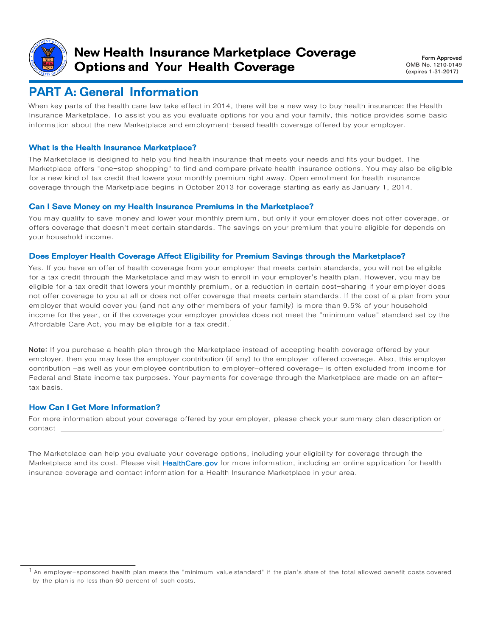

## New Health Insurance Marketplace Coverage Options and Your Health Coverage

 Form Approved OMB No. 1210-0149 (expires 1-31-2017)

## PART A: General Information

When key parts of the health care law take effect in 2014, there will be a new way to buy health insurance: the Health Insurance Marketplace. To assist you as you evaluate options for you and your family, this notice provides some basic information about the new Marketplace and employment-based health coverage offered by your employer.

### What is the Health Insurance Marketplace?

The Marketplace is designed to help you find health insurance that meets your needs and fits your budget. The Marketplace offers "one-stop shopping" to find and compare private health insurance options. You may also be eligible for a new kind of tax credit that lowers your monthly premium right away. Open enrollment for health insurance coverage through the Marketplace begins in October 2013 for coverage starting as early as January 1, 2014.

#### Can I Save Money on my Health Insurance Premiums in the Marketplace?

You may qualify to save money and lower your monthly premium, but only if your employer does not offer coverage, or offers coverage that doesn't meet certain standards. The savings on your premium that you're eligible for depends on your household income.

#### Does Employer Health Coverage Affect Eligibility for Premium Savings through the Marketplace?

Yes. If you have an offer of health coverage from your employer that meets certain standards, you will not be eligible for a tax credit through the Marketplace and may wish to enroll in your employer's health plan. However, you may be eligible for a tax credit that lowers your monthly premium, or a reduction in certain cost-sharing if your employer does not offer coverage to you at all or does not offer coverage that meets certain standards. If the cost of a plan from your employer that would cover you (and not any other members of your family) is more than 9.5% of your household income for the year, or if the coverage your employer provides does not meet the "minimum value" standard set by the Affordable Care Act, you may be eligible for a tax credit.<sup>1</sup>

Note: If you purchase a health plan through the Marketplace instead of accepting health coverage offered by your employer, then you may lose the employer contribution (if any) to the employer-offered coverage. Also, this employer contribution -as well as your employee contribution to employer-offered coverage- is often excluded from income for Federal and State income tax purposes. Your payments for coverage through the Marketplace are made on an aftertax basis.

#### How Can I Get More Information?

For more information about your coverage offered by your employer, please check your summary plan description or contact .

The Marketplace can help you evaluate your coverage options, including your eligibility for coverage through the Marketplace and its cost. Please visit [HealthCare.gov](http://www.healthcare.gov/) for more information, including an online application for health insurance coverage and contact information for a Health Insurance Marketplace in your area.

 $^{\text{1}}$  An employer-sponsored health plan meets the "minimum value standard" if the plan's share of the total allowed benefit costs covered by the plan is no less than 60 percent of such costs.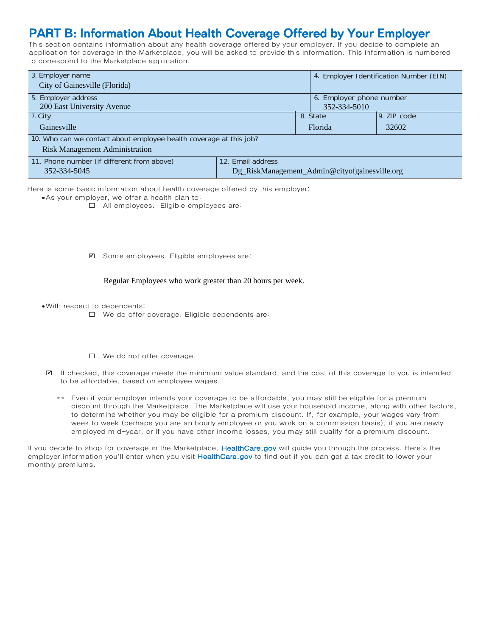# PART B: Information About Health Coverage Offered by Your Employer

This section contains information about any health coverage offered by your employer. If you decide to complete an application for coverage in the Marketplace, you will be asked to provide this information. This information is numbered to correspond to the Marketplace application.

| 3. Employer name                                                   |                                               |         | 4. Employer Identification Number (EIN) |             |  |  |
|--------------------------------------------------------------------|-----------------------------------------------|---------|-----------------------------------------|-------------|--|--|
| City of Gainesville (Florida)                                      |                                               |         |                                         |             |  |  |
| 5. Employer address                                                |                                               |         | 6. Employer phone number                |             |  |  |
| 200 East University Avenue                                         |                                               |         | 352-334-5010                            |             |  |  |
| 7. City                                                            |                                               |         | 8. State                                | 9. ZIP code |  |  |
| Gainesville                                                        |                                               | Florida |                                         | 32602       |  |  |
| 10. Who can we contact about employee health coverage at this job? |                                               |         |                                         |             |  |  |
| <b>Risk Management Administration</b>                              |                                               |         |                                         |             |  |  |
| 11. Phone number (if different from above)                         | 12. Email address                             |         |                                         |             |  |  |
| 352-334-5045                                                       | Dg_RiskManagement_Admin@cityofgainesville.org |         |                                         |             |  |  |

Here is some basic information about health coverage offered by this employer:

- •As your employer, we offer a health plan to:
	- All employees. Eligible employees are:
	- Some employees. Eligible employees are:

#### Regular Employees who work greater than 20 hours per week.

- •With respect to dependents:
	- We do offer coverage. Eligible dependents are:
	- □ We do not offer coverage.
	- If checked, this coverage meets the minimum value standard, and the cost of this coverage to you is intended to be affordable, based on employee wages.
		- \*\* Even if your employer intends your coverage to be affordable, you may still be eligible for a premium discount through the Marketplace. The Marketplace will use your household income, along with other factors, to determine whether you may be eligible for a premium discount. If, for example, your wages vary from week to week (perhaps you are an hourly employee or you work on a commission basis), if you are newly employed mid-year, or if you have other income losses, you may still qualify for a premium discount.

If you decide to shop for coverage in the Marketplace, [HealthCare.gov](http://www.healthcare.gov/) will guide you through the process. Here's the employer information you'll enter when you visit [HealthCare.gov](http://www.healthcare.gov/) to find out if you can get a tax credit to lower your monthly premiums.